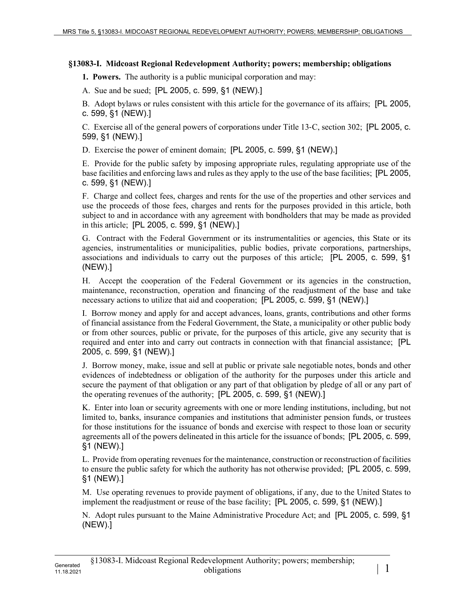## **§13083-I. Midcoast Regional Redevelopment Authority; powers; membership; obligations**

**1. Powers.** The authority is a public municipal corporation and may:

A. Sue and be sued; [PL 2005, c. 599, §1 (NEW).]

B. Adopt bylaws or rules consistent with this article for the governance of its affairs; [PL 2005, c. 599, §1 (NEW).]

C. Exercise all of the general powers of corporations under Title 13‑C, section 302; [PL 2005, c. 599, §1 (NEW).]

D. Exercise the power of eminent domain; [PL 2005, c. 599, §1 (NEW).]

E. Provide for the public safety by imposing appropriate rules, regulating appropriate use of the base facilities and enforcing laws and rules as they apply to the use of the base facilities; [PL 2005, c. 599, §1 (NEW).]

F. Charge and collect fees, charges and rents for the use of the properties and other services and use the proceeds of those fees, charges and rents for the purposes provided in this article, both subject to and in accordance with any agreement with bondholders that may be made as provided in this article; [PL 2005, c. 599, §1 (NEW).]

G. Contract with the Federal Government or its instrumentalities or agencies, this State or its agencies, instrumentalities or municipalities, public bodies, private corporations, partnerships, associations and individuals to carry out the purposes of this article; [PL 2005, c. 599, §1 (NEW).]

H. Accept the cooperation of the Federal Government or its agencies in the construction, maintenance, reconstruction, operation and financing of the readjustment of the base and take necessary actions to utilize that aid and cooperation; [PL 2005, c. 599, §1 (NEW).]

I. Borrow money and apply for and accept advances, loans, grants, contributions and other forms of financial assistance from the Federal Government, the State, a municipality or other public body or from other sources, public or private, for the purposes of this article, give any security that is required and enter into and carry out contracts in connection with that financial assistance; [PL 2005, c. 599, §1 (NEW).]

J. Borrow money, make, issue and sell at public or private sale negotiable notes, bonds and other evidences of indebtedness or obligation of the authority for the purposes under this article and secure the payment of that obligation or any part of that obligation by pledge of all or any part of the operating revenues of the authority; [PL 2005, c. 599, §1 (NEW).]

K. Enter into loan or security agreements with one or more lending institutions, including, but not limited to, banks, insurance companies and institutions that administer pension funds, or trustees for those institutions for the issuance of bonds and exercise with respect to those loan or security agreements all of the powers delineated in this article for the issuance of bonds; [PL 2005, c. 599, §1 (NEW).]

L. Provide from operating revenues for the maintenance, construction or reconstruction of facilities to ensure the public safety for which the authority has not otherwise provided; [PL 2005, c. 599, §1 (NEW).]

M. Use operating revenues to provide payment of obligations, if any, due to the United States to implement the readjustment or reuse of the base facility; [PL 2005, c. 599, §1 (NEW).]

N. Adopt rules pursuant to the Maine Administrative Procedure Act; and [PL 2005, c. 599, §1 (NEW).]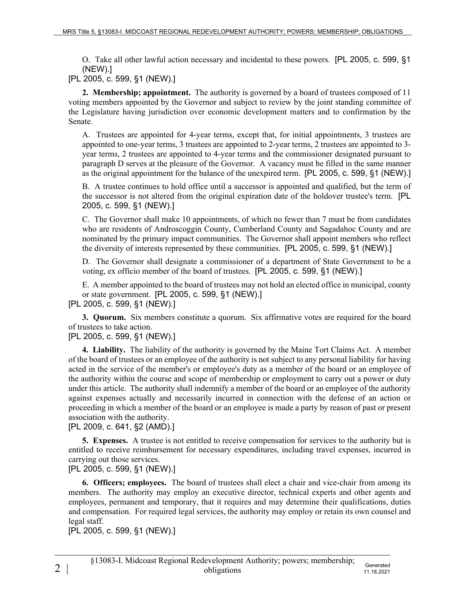O. Take all other lawful action necessary and incidental to these powers. [PL 2005, c. 599, §1 (NEW).]

[PL 2005, c. 599, §1 (NEW).]

**2. Membership; appointment.** The authority is governed by a board of trustees composed of 11 voting members appointed by the Governor and subject to review by the joint standing committee of the Legislature having jurisdiction over economic development matters and to confirmation by the Senate.

A. Trustees are appointed for 4-year terms, except that, for initial appointments, 3 trustees are appointed to one-year terms, 3 trustees are appointed to 2-year terms, 2 trustees are appointed to 3 year terms, 2 trustees are appointed to 4-year terms and the commissioner designated pursuant to paragraph D serves at the pleasure of the Governor. A vacancy must be filled in the same manner as the original appointment for the balance of the unexpired term. [PL 2005, c. 599, §1 (NEW).]

B. A trustee continues to hold office until a successor is appointed and qualified, but the term of the successor is not altered from the original expiration date of the holdover trustee's term. [PL 2005, c. 599, §1 (NEW).]

C. The Governor shall make 10 appointments, of which no fewer than 7 must be from candidates who are residents of Androscoggin County, Cumberland County and Sagadahoc County and are nominated by the primary impact communities. The Governor shall appoint members who reflect the diversity of interests represented by these communities. [PL 2005, c. 599, §1 (NEW).]

D. The Governor shall designate a commissioner of a department of State Government to be a voting, ex officio member of the board of trustees. [PL 2005, c. 599, §1 (NEW).]

E. A member appointed to the board of trustees may not hold an elected office in municipal, county or state government. [PL 2005, c. 599, §1 (NEW).] [PL 2005, c. 599, §1 (NEW).]

**3. Quorum.** Six members constitute a quorum. Six affirmative votes are required for the board of trustees to take action.

## [PL 2005, c. 599, §1 (NEW).]

**4. Liability.** The liability of the authority is governed by the Maine Tort Claims Act. A member of the board of trustees or an employee of the authority is not subject to any personal liability for having acted in the service of the member's or employee's duty as a member of the board or an employee of the authority within the course and scope of membership or employment to carry out a power or duty under this article. The authority shall indemnify a member of the board or an employee of the authority against expenses actually and necessarily incurred in connection with the defense of an action or proceeding in which a member of the board or an employee is made a party by reason of past or present association with the authority.

[PL 2009, c. 641, §2 (AMD).]

**5. Expenses.** A trustee is not entitled to receive compensation for services to the authority but is entitled to receive reimbursement for necessary expenditures, including travel expenses, incurred in carrying out those services.

[PL 2005, c. 599, §1 (NEW).]

**6. Officers; employees.** The board of trustees shall elect a chair and vice-chair from among its members. The authority may employ an executive director, technical experts and other agents and employees, permanent and temporary, that it requires and may determine their qualifications, duties and compensation. For required legal services, the authority may employ or retain its own counsel and legal staff.

[PL 2005, c. 599, §1 (NEW).]